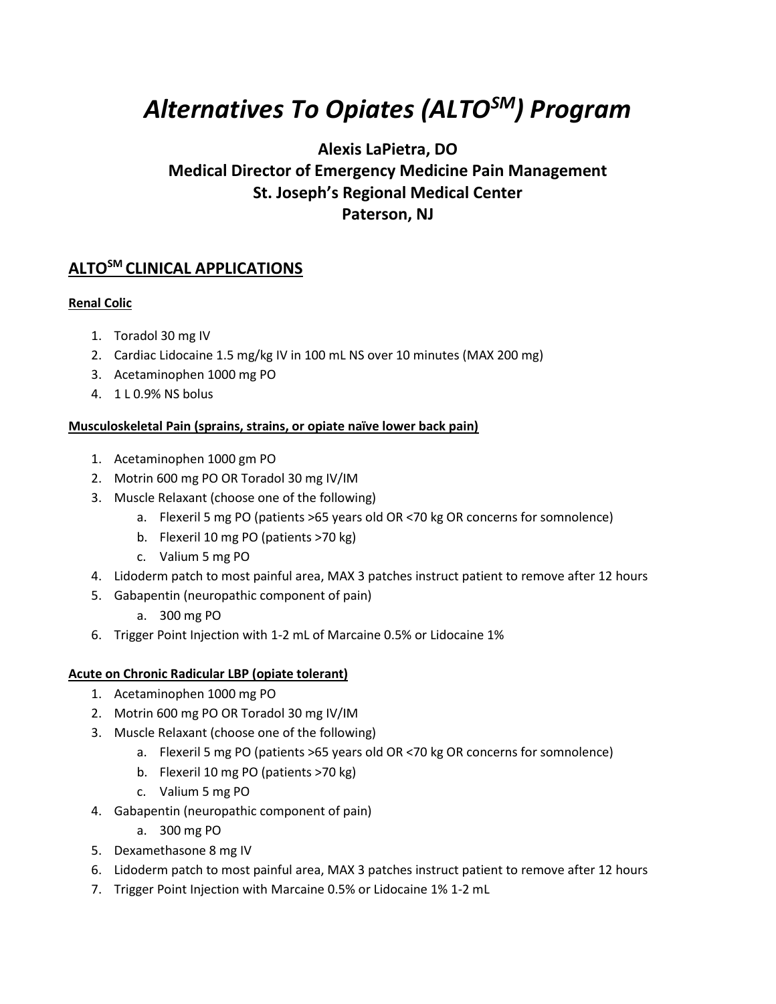# *Alternatives To Opiates (ALTOSM) Program*

# **Alexis LaPietra, DO Medical Director of Emergency Medicine Pain Management St. Joseph's Regional Medical Center Paterson, NJ**

# **ALTOSM CLINICAL APPLICATIONS**

# **Renal Colic**

- 1. Toradol 30 mg IV
- 2. Cardiac Lidocaine 1.5 mg/kg IV in 100 mL NS over 10 minutes (MAX 200 mg)
- 3. Acetaminophen 1000 mg PO
- 4. 1 L 0.9% NS bolus

## **Musculoskeletal Pain (sprains, strains, or opiate naïve lower back pain)**

- 1. Acetaminophen 1000 gm PO
- 2. Motrin 600 mg PO OR Toradol 30 mg IV/IM
- 3. Muscle Relaxant (choose one of the following)
	- a. Flexeril 5 mg PO (patients >65 years old OR <70 kg OR concerns for somnolence)
	- b. Flexeril 10 mg PO (patients >70 kg)
	- c. Valium 5 mg PO
- 4. Lidoderm patch to most painful area, MAX 3 patches instruct patient to remove after 12 hours
- 5. Gabapentin (neuropathic component of pain)
	- a. 300 mg PO
- 6. Trigger Point Injection with 1-2 mL of Marcaine 0.5% or Lidocaine 1%

## **Acute on Chronic Radicular LBP (opiate tolerant)**

- 1. Acetaminophen 1000 mg PO
- 2. Motrin 600 mg PO OR Toradol 30 mg IV/IM
- 3. Muscle Relaxant (choose one of the following)
	- a. Flexeril 5 mg PO (patients >65 years old OR <70 kg OR concerns for somnolence)
	- b. Flexeril 10 mg PO (patients >70 kg)
	- c. Valium 5 mg PO
- 4. Gabapentin (neuropathic component of pain)
	- a. 300 mg PO
- 5. Dexamethasone 8 mg IV
- 6. Lidoderm patch to most painful area, MAX 3 patches instruct patient to remove after 12 hours
- 7. Trigger Point Injection with Marcaine 0.5% or Lidocaine 1% 1-2 mL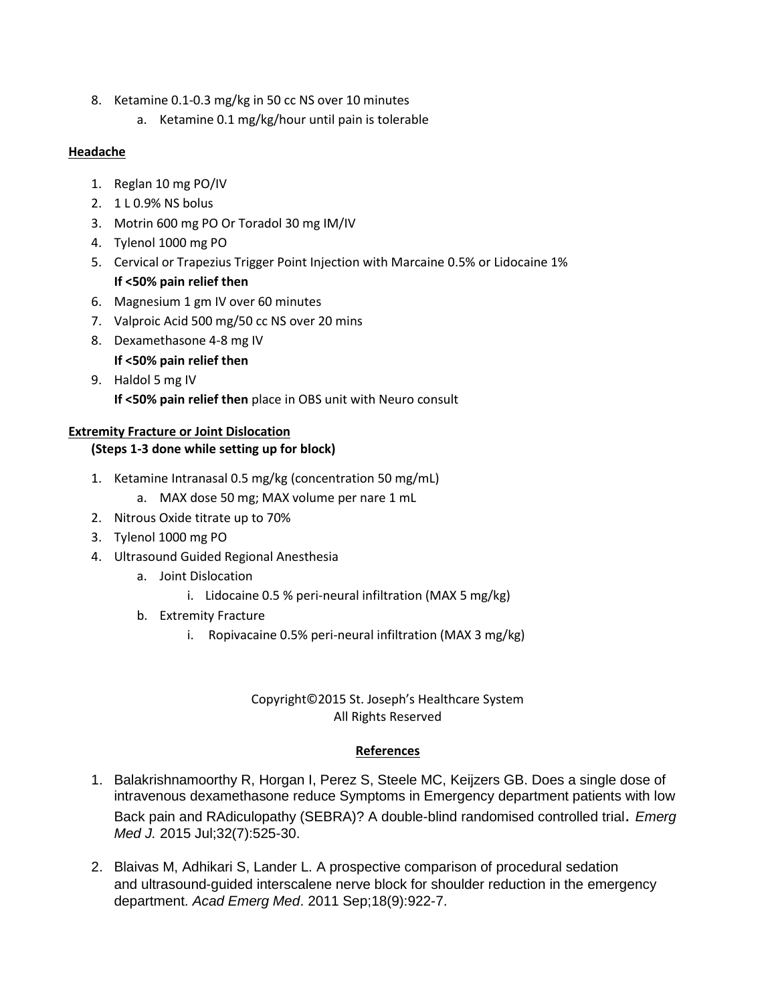- 8. Ketamine 0.1-0.3 mg/kg in 50 cc NS over 10 minutes
	- a. Ketamine 0.1 mg/kg/hour until pain is tolerable

#### **Headache**

- 1. Reglan 10 mg PO/IV
- 2. 1 L 0.9% NS bolus
- 3. Motrin 600 mg PO Or Toradol 30 mg IM/IV
- 4. Tylenol 1000 mg PO
- 5. Cervical or Trapezius Trigger Point Injection with Marcaine 0.5% or Lidocaine 1% **If <50% pain relief then**
- 6. Magnesium 1 gm IV over 60 minutes
- 7. Valproic Acid 500 mg/50 cc NS over 20 mins
- 8. Dexamethasone 4-8 mg IV
	- **If <50% pain relief then**
- 9. Haldol 5 mg IV **If <50% pain relief then** place in OBS unit with Neuro consult

# **Extremity Fracture or Joint Dislocation**

## **(Steps 1-3 done while setting up for block)**

- 1. Ketamine Intranasal 0.5 mg/kg (concentration 50 mg/mL)
	- a. MAX dose 50 mg; MAX volume per nare 1 mL
- 2. Nitrous Oxide titrate up to 70%
- 3. Tylenol 1000 mg PO
- 4. Ultrasound Guided Regional Anesthesia
	- a. Joint Dislocation
		- i. Lidocaine 0.5 % peri-neural infiltration (MAX 5 mg/kg)
	- b. Extremity Fracture
		- i. Ropivacaine 0.5% peri-neural infiltration (MAX 3 mg/kg)

#### Copyright©2015 St. Joseph's Healthcare System All Rights Reserved

## **References**

- 1. [Balakrishnamoorthy](http://www.ncbi.nlm.nih.gov/pubmed/?term=Balakrishnamoorthy%20R%5BAuthor%5D&cauthor=true&cauthor_uid=25122642) R, Horgan I, [Perez S,](http://www.ncbi.nlm.nih.gov/pubmed/?term=Perez%20S%5BAuthor%5D&cauthor=true&cauthor_uid=25122642) [Steele MC,](http://www.ncbi.nlm.nih.gov/pubmed/?term=Steele%20MC%5BAuthor%5D&cauthor=true&cauthor_uid=25122642) [Keijzers GB.](http://www.ncbi.nlm.nih.gov/pubmed/?term=Keijzers%20GB%5BAuthor%5D&cauthor=true&cauthor_uid=25122642) Does a single dose of intravenous dexamethasone reduce Symptoms in Emergency department patients with low Back pain and RAdiculopathy (SEBRA)? A double-blind randomised controlled trial. *[Emerg](http://www.ncbi.nlm.nih.gov/pubmed/?term=Balakrishnamoorthy+2015)  [Med J.](http://www.ncbi.nlm.nih.gov/pubmed/?term=Balakrishnamoorthy+2015)* 2015 Jul;32(7):525-30.
- 2. [Blaivas](http://www.ncbi.nlm.nih.gov/pubmed/?term=Blaivas%20M%5BAuthor%5D&cauthor=true&cauthor_uid=21883635) M, [Adhikari S,](http://www.ncbi.nlm.nih.gov/pubmed/?term=Adhikari%20S%5BAuthor%5D&cauthor=true&cauthor_uid=21883635) [Lander L.](http://www.ncbi.nlm.nih.gov/pubmed/?term=Lander%20L%5BAuthor%5D&cauthor=true&cauthor_uid=21883635) A prospective comparison of procedural sedation and ultrasound-guided interscalene nerve block for shoulder reduction in the emergency department. *[Acad Emerg Med](http://www.ncbi.nlm.nih.gov/pubmed/21883635)*. 2011 Sep;18(9):922-7.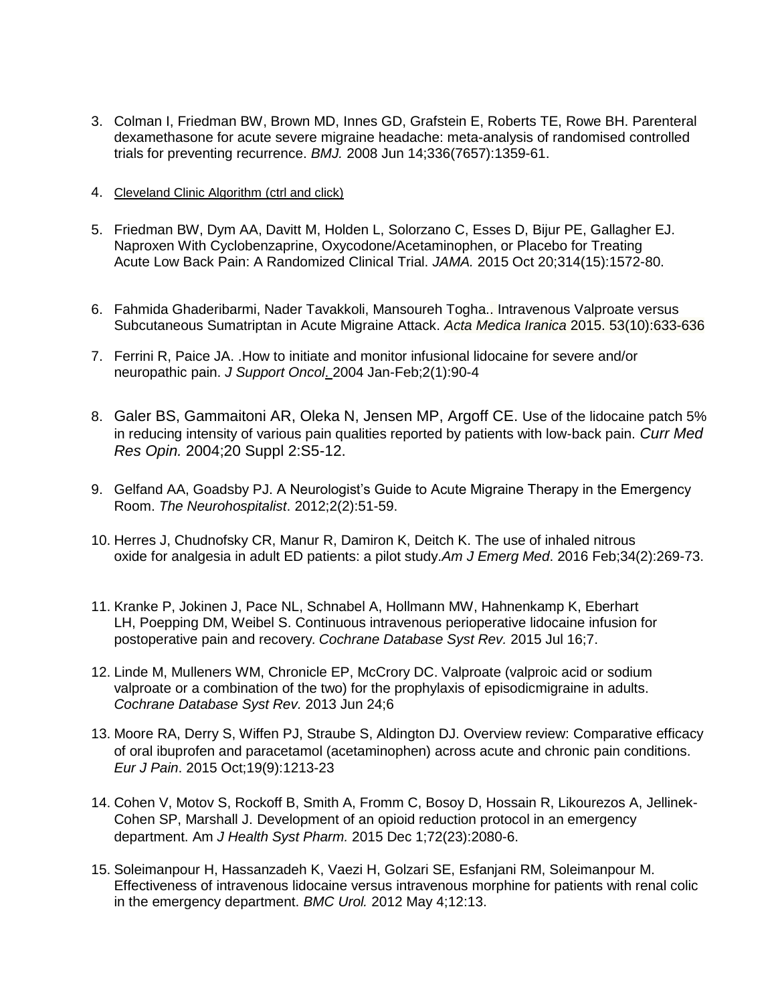- 3. [Colman I,](http://www.ncbi.nlm.nih.gov/pubmed/?term=Colman%20I%5BAuthor%5D&cauthor=true&cauthor_uid=18541610) [Friedman BW,](http://www.ncbi.nlm.nih.gov/pubmed/?term=Friedman%20BW%5BAuthor%5D&cauthor=true&cauthor_uid=18541610) [Brown MD,](http://www.ncbi.nlm.nih.gov/pubmed/?term=Brown%20MD%5BAuthor%5D&cauthor=true&cauthor_uid=18541610) [Innes GD,](http://www.ncbi.nlm.nih.gov/pubmed/?term=Innes%20GD%5BAuthor%5D&cauthor=true&cauthor_uid=18541610) [Grafstein E,](http://www.ncbi.nlm.nih.gov/pubmed/?term=Grafstein%20E%5BAuthor%5D&cauthor=true&cauthor_uid=18541610) [Roberts TE,](http://www.ncbi.nlm.nih.gov/pubmed/?term=Roberts%20TE%5BAuthor%5D&cauthor=true&cauthor_uid=18541610) [Rowe BH.](http://www.ncbi.nlm.nih.gov/pubmed/?term=Rowe%20BH%5BAuthor%5D&cauthor=true&cauthor_uid=18541610) Parenteral dexamethasone for acute severe migraine headache: meta-analysis of randomised controlled trials for preventing recurrence. *BMJ.* 2008 Jun 14;336(7657):1359-61.
- 4. [Cleveland Clinic Algorithm](http://www.painmedicinenews.com/Clinical-Pain-Medicine/Article/09-15/Cleveland-Clinic-Algorithm-Reduces-Migraine-Opioid-Use-in-ED/33453/ses=ogst) (ctrl and click)
- 5. [Friedman](http://www.ncbi.nlm.nih.gov/pubmed/?term=Friedman%20BW%5BAuthor%5D&cauthor=true&cauthor_uid=26501533) BW, [Dym AA,](http://www.ncbi.nlm.nih.gov/pubmed/?term=Dym%20AA%5BAuthor%5D&cauthor=true&cauthor_uid=26501533) [Davitt M,](http://www.ncbi.nlm.nih.gov/pubmed/?term=Davitt%20M%5BAuthor%5D&cauthor=true&cauthor_uid=26501533) [Holden L,](http://www.ncbi.nlm.nih.gov/pubmed/?term=Holden%20L%5BAuthor%5D&cauthor=true&cauthor_uid=26501533) [Solorzano C,](http://www.ncbi.nlm.nih.gov/pubmed/?term=Solorzano%20C%5BAuthor%5D&cauthor=true&cauthor_uid=26501533) [Esses D,](http://www.ncbi.nlm.nih.gov/pubmed/?term=Esses%20D%5BAuthor%5D&cauthor=true&cauthor_uid=26501533) [Bijur PE,](http://www.ncbi.nlm.nih.gov/pubmed/?term=Bijur%20PE%5BAuthor%5D&cauthor=true&cauthor_uid=26501533) [Gallagher EJ.](http://www.ncbi.nlm.nih.gov/pubmed/?term=Gallagher%20EJ%5BAuthor%5D&cauthor=true&cauthor_uid=26501533) Naproxen With Cyclobenzaprine, Oxycodone/Acetaminophen, or Placebo for Treating Acute Low Back Pain: A Randomized Clinical Trial. *[JAMA.](http://www.ncbi.nlm.nih.gov/pubmed/26501533)* 2015 Oct 20;314(15):1572-80.
- 6. Fahmida Ghaderibarmi, Nader Tavakkoli, Mansoureh Togha.. Intravenous Valproate versus Subcutaneous Sumatriptan in Acute Migraine Attack. *Acta Medica Iranica* 2015. 53(10):633-636
- 7. [Ferrini R,](http://www.ncbi.nlm.nih.gov/pubmed/?term=Ferrini%20R%5BAuthor%5D&cauthor=true&cauthor_uid=15330376) [Paice JA.](http://www.ncbi.nlm.nih.gov/pubmed/?term=Paice%20JA%5BAuthor%5D&cauthor=true&cauthor_uid=15330376) .How to initiate and monitor infusional lidocaine for severe and/or neuropathic pain. *[J Support Oncol](http://www.ncbi.nlm.nih.gov/pubmed/15330376)*. 2004 Jan-Feb;2(1):90-4
- 8. [Galer](http://www.ncbi.nlm.nih.gov/pubmed/?term=Galer%20BS%5BAuthor%5D&cauthor=true&cauthor_uid=15563741) BS, [Gammaitoni AR,](http://www.ncbi.nlm.nih.gov/pubmed/?term=Gammaitoni%20AR%5BAuthor%5D&cauthor=true&cauthor_uid=15563741) [Oleka N,](http://www.ncbi.nlm.nih.gov/pubmed/?term=Oleka%20N%5BAuthor%5D&cauthor=true&cauthor_uid=15563741) [Jensen MP,](http://www.ncbi.nlm.nih.gov/pubmed/?term=Jensen%20MP%5BAuthor%5D&cauthor=true&cauthor_uid=15563741) [Argoff CE.](http://www.ncbi.nlm.nih.gov/pubmed/?term=Argoff%20CE%5BAuthor%5D&cauthor=true&cauthor_uid=15563741) Use of the lidocaine patch 5% in reducing intensity of various pain qualities reported by patients with low-back pain. *[Curr Med](http://www.ncbi.nlm.nih.gov/pubmed/15563741)  [Res Opin.](http://www.ncbi.nlm.nih.gov/pubmed/15563741)* 2004;20 Suppl 2:S5-12.
- 9. Gelfand AA, Goadsby PJ. A Neurologist's Guide to Acute Migraine Therapy in the Emergency Room. *The Neurohospitalist*. 2012;2(2):51-59.
- 10. Herres J, Chudnofsky CR, Manur R, Damiron K, Deitch K. [The use of](http://www.ncbi.nlm.nih.gov/pubmed/26585197) inhaled nitrous oxide for analgesia [in adult ED patients: a pilot study.](http://www.ncbi.nlm.nih.gov/pubmed/26585197)*Am J Emerg Med*. 2016 Feb;34(2):269-73.
- 11. [Kranke](http://www.ncbi.nlm.nih.gov/pubmed/?term=Kranke%20P%5BAuthor%5D&cauthor=true&cauthor_uid=26184397) P, [Jokinen J,](http://www.ncbi.nlm.nih.gov/pubmed/?term=Jokinen%20J%5BAuthor%5D&cauthor=true&cauthor_uid=26184397) [Pace NL,](http://www.ncbi.nlm.nih.gov/pubmed/?term=Pace%20NL%5BAuthor%5D&cauthor=true&cauthor_uid=26184397) [Schnabel A,](http://www.ncbi.nlm.nih.gov/pubmed/?term=Schnabel%20A%5BAuthor%5D&cauthor=true&cauthor_uid=26184397) [Hollmann MW,](http://www.ncbi.nlm.nih.gov/pubmed/?term=Hollmann%20MW%5BAuthor%5D&cauthor=true&cauthor_uid=26184397) [Hahnenkamp K,](http://www.ncbi.nlm.nih.gov/pubmed/?term=Hahnenkamp%20K%5BAuthor%5D&cauthor=true&cauthor_uid=26184397) [Eberhart](http://www.ncbi.nlm.nih.gov/pubmed/?term=Eberhart%20LH%5BAuthor%5D&cauthor=true&cauthor_uid=26184397)  [LH,](http://www.ncbi.nlm.nih.gov/pubmed/?term=Eberhart%20LH%5BAuthor%5D&cauthor=true&cauthor_uid=26184397) [Poepping DM,](http://www.ncbi.nlm.nih.gov/pubmed/?term=Poepping%20DM%5BAuthor%5D&cauthor=true&cauthor_uid=26184397) [Weibel S.](http://www.ncbi.nlm.nih.gov/pubmed/?term=Weibel%20S%5BAuthor%5D&cauthor=true&cauthor_uid=26184397) Continuous intravenous perioperative lidocaine infusion for postoperative pain and recovery*. [Cochrane Database Syst Rev.](http://www.ncbi.nlm.nih.gov/pubmed/26184397)* 2015 Jul 16;7.
- 12. [Linde M,](http://www.ncbi.nlm.nih.gov/pubmed/?term=Linde%20M%5BAuthor%5D&cauthor=true&cauthor_uid=23797677) [Mulleners WM,](http://www.ncbi.nlm.nih.gov/pubmed/?term=Mulleners%20WM%5BAuthor%5D&cauthor=true&cauthor_uid=23797677) [Chronicle EP,](http://www.ncbi.nlm.nih.gov/pubmed/?term=Chronicle%20EP%5BAuthor%5D&cauthor=true&cauthor_uid=23797677) [McCrory DC.](http://www.ncbi.nlm.nih.gov/pubmed/?term=McCrory%20DC%5BAuthor%5D&cauthor=true&cauthor_uid=23797677) Valproate (valproic acid or sodium valproate or a combination of the two) for the prophylaxis of episodicmigraine in adults. *[Cochrane Database Syst Rev.](http://www.ncbi.nlm.nih.gov/pubmed/23797677)* 2013 Jun 24;6
- 13. Moore RA, Derry S, Wiffen PJ, Straube S, Aldington DJ. [Overview review: Comparative efficacy](http://www.ncbi.nlm.nih.gov/pubmed/25530283)  [of oral ibuprofen and paracetamol \(acetaminophen\) across acute and chronic](http://www.ncbi.nlm.nih.gov/pubmed/25530283) pain conditions. *Eur J Pain*. 2015 Oct;19(9):1213-23
- 14. [Cohen V,](http://www.ncbi.nlm.nih.gov/pubmed/?term=Cohen%20V%5BAuthor%5D&cauthor=true&cauthor_uid=26581934) [Motov S,](http://www.ncbi.nlm.nih.gov/pubmed/?term=Motov%20S%5BAuthor%5D&cauthor=true&cauthor_uid=26581934) [Rockoff B,](http://www.ncbi.nlm.nih.gov/pubmed/?term=Rockoff%20B%5BAuthor%5D&cauthor=true&cauthor_uid=26581934) [Smith A,](http://www.ncbi.nlm.nih.gov/pubmed/?term=Smith%20A%5BAuthor%5D&cauthor=true&cauthor_uid=26581934) [Fromm C,](http://www.ncbi.nlm.nih.gov/pubmed/?term=Fromm%20C%5BAuthor%5D&cauthor=true&cauthor_uid=26581934) [Bosoy D,](http://www.ncbi.nlm.nih.gov/pubmed/?term=Bosoy%20D%5BAuthor%5D&cauthor=true&cauthor_uid=26581934) [Hossain R,](http://www.ncbi.nlm.nih.gov/pubmed/?term=Hossain%20R%5BAuthor%5D&cauthor=true&cauthor_uid=26581934) [Likourezos A,](http://www.ncbi.nlm.nih.gov/pubmed/?term=Likourezos%20A%5BAuthor%5D&cauthor=true&cauthor_uid=26581934) [Jellinek-](http://www.ncbi.nlm.nih.gov/pubmed/?term=Jellinek-Cohen%20SP%5BAuthor%5D&cauthor=true&cauthor_uid=26581934)[Cohen SP,](http://www.ncbi.nlm.nih.gov/pubmed/?term=Jellinek-Cohen%20SP%5BAuthor%5D&cauthor=true&cauthor_uid=26581934) [Marshall J.](http://www.ncbi.nlm.nih.gov/pubmed/?term=Marshall%20J%5BAuthor%5D&cauthor=true&cauthor_uid=26581934) Development of an opioid reduction protocol in an emergency department. Am *[J Health Syst Pharm.](http://www.ncbi.nlm.nih.gov/pubmed/26581934)* 2015 Dec 1;72(23):2080-6.
- 15. [Soleimanpour](http://www.ncbi.nlm.nih.gov/pubmed/?term=Soleimanpour%20H%5BAuthor%5D&cauthor=true&cauthor_uid=22559856) H, [Hassanzadeh K,](http://www.ncbi.nlm.nih.gov/pubmed/?term=Hassanzadeh%20K%5BAuthor%5D&cauthor=true&cauthor_uid=22559856) [Vaezi H,](http://www.ncbi.nlm.nih.gov/pubmed/?term=Vaezi%20H%5BAuthor%5D&cauthor=true&cauthor_uid=22559856) [Golzari SE,](http://www.ncbi.nlm.nih.gov/pubmed/?term=Golzari%20SE%5BAuthor%5D&cauthor=true&cauthor_uid=22559856) [Esfanjani RM,](http://www.ncbi.nlm.nih.gov/pubmed/?term=Esfanjani%20RM%5BAuthor%5D&cauthor=true&cauthor_uid=22559856) [Soleimanpour](http://www.ncbi.nlm.nih.gov/pubmed/?term=Soleimanpour%20M%5BAuthor%5D&cauthor=true&cauthor_uid=22559856) M. Effectiveness of intravenous lidocaine versus intravenous morphine for patients with renal colic in the emergency department. *[BMC Urol.](http://www.ncbi.nlm.nih.gov/pubmed/22559856)* 2012 May 4;12:13.